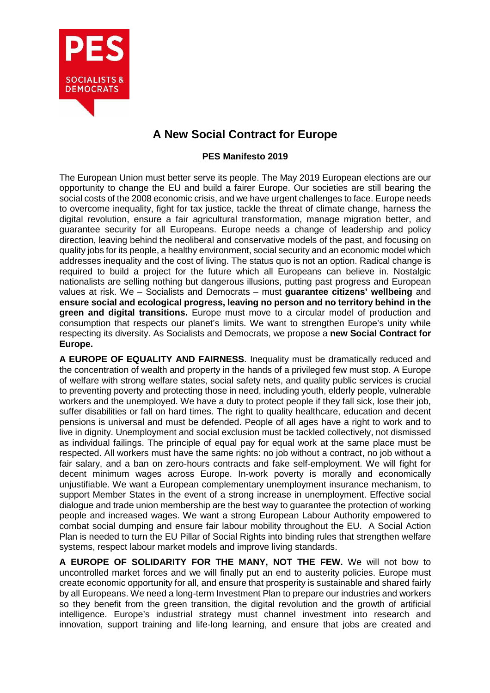

## **A New Social Contract for Europe**

## **PES Manifesto 2019**

The European Union must better serve its people. The May 2019 European elections are our opportunity to change the EU and build a fairer Europe. Our societies are still bearing the social costs of the 2008 economic crisis, and we have urgent challenges to face. Europe needs to overcome inequality, fight for tax justice, tackle the threat of climate change, harness the digital revolution, ensure a fair agricultural transformation, manage migration better, and guarantee security for all Europeans. Europe needs a change of leadership and policy direction, leaving behind the neoliberal and conservative models of the past, and focusing on quality jobs for its people, a healthy environment, social security and an economic model which addresses inequality and the cost of living. The status quo is not an option. Radical change is required to build a project for the future which all Europeans can believe in. Nostalgic nationalists are selling nothing but dangerous illusions, putting past progress and European values at risk. We – Socialists and Democrats – must **guarantee citizens' wellbeing** and **ensure social and ecological progress, leaving no person and no territory behind in the green and digital transitions.** Europe must move to a circular model of production and consumption that respects our planet's limits. We want to strengthen Europe's unity while respecting its diversity. As Socialists and Democrats, we propose a **new Social Contract for Europe.**

**A EUROPE OF EQUALITY AND FAIRNESS**. Inequality must be dramatically reduced and the concentration of wealth and property in the hands of a privileged few must stop. A Europe of welfare with strong welfare states, social safety nets, and quality public services is crucial to preventing poverty and protecting those in need, including youth, elderly people, vulnerable workers and the unemployed. We have a duty to protect people if they fall sick, lose their job, suffer disabilities or fall on hard times. The right to quality healthcare, education and decent pensions is universal and must be defended. People of all ages have a right to work and to live in dignity. Unemployment and social exclusion must be tackled collectively, not dismissed as individual failings. The principle of equal pay for equal work at the same place must be respected. All workers must have the same rights: no job without a contract, no job without a fair salary, and a ban on zero-hours contracts and fake self-employment. We will fight for decent minimum wages across Europe. In-work poverty is morally and economically unjustifiable. We want a European complementary unemployment insurance mechanism, to support Member States in the event of a strong increase in unemployment. Effective social dialogue and trade union membership are the best way to guarantee the protection of working people and increased wages. We want a strong European Labour Authority empowered to combat social dumping and ensure fair labour mobility throughout the EU. A Social Action Plan is needed to turn the EU Pillar of Social Rights into binding rules that strengthen welfare systems, respect labour market models and improve living standards.

**A EUROPE OF SOLIDARITY FOR THE MANY, NOT THE FEW.** We will not bow to uncontrolled market forces and we will finally put an end to austerity policies. Europe must create economic opportunity for all, and ensure that prosperity is sustainable and shared fairly by all Europeans. We need a long-term Investment Plan to prepare our industries and workers so they benefit from the green transition, the digital revolution and the growth of artificial intelligence. Europe's industrial strategy must channel investment into research and innovation, support training and life-long learning, and ensure that jobs are created and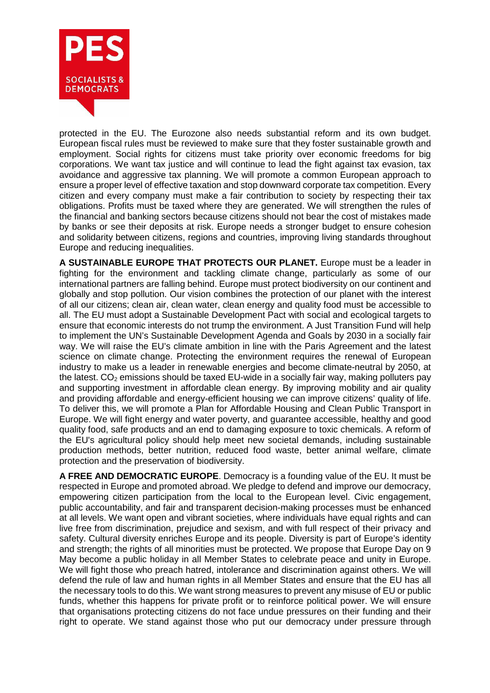

protected in the EU. The Eurozone also needs substantial reform and its own budget. European fiscal rules must be reviewed to make sure that they foster sustainable growth and employment. Social rights for citizens must take priority over economic freedoms for big corporations. We want tax justice and will continue to lead the fight against tax evasion, tax avoidance and aggressive tax planning. We will promote a common European approach to ensure a proper level of effective taxation and stop downward corporate tax competition. Every citizen and every company must make a fair contribution to society by respecting their tax obligations. Profits must be taxed where they are generated. We will strengthen the rules of the financial and banking sectors because citizens should not bear the cost of mistakes made by banks or see their deposits at risk. Europe needs a stronger budget to ensure cohesion and solidarity between citizens, regions and countries, improving living standards throughout Europe and reducing inequalities.

**A SUSTAINABLE EUROPE THAT PROTECTS OUR PLANET.** Europe must be a leader in fighting for the environment and tackling climate change, particularly as some of our international partners are falling behind. Europe must protect biodiversity on our continent and globally and stop pollution. Our vision combines the protection of our planet with the interest of all our citizens; clean air, clean water, clean energy and quality food must be accessible to all. The EU must adopt a Sustainable Development Pact with social and ecological targets to ensure that economic interests do not trump the environment. A Just Transition Fund will help to implement the UN's Sustainable Development Agenda and Goals by 2030 in a socially fair way. We will raise the EU's climate ambition in line with the Paris Agreement and the latest science on climate change. Protecting the environment requires the renewal of European industry to make us a leader in renewable energies and become climate-neutral by 2050, at the latest.  $CO<sub>2</sub>$  emissions should be taxed EU-wide in a socially fair way, making polluters pay and supporting investment in affordable clean energy. By improving mobility and air quality and providing affordable and energy-efficient housing we can improve citizens' quality of life. To deliver this, we will promote a Plan for Affordable Housing and Clean Public Transport in Europe. We will fight energy and water poverty, and guarantee accessible, healthy and good quality food, safe products and an end to damaging exposure to toxic chemicals. A reform of the EU's agricultural policy should help meet new societal demands, including sustainable production methods, better nutrition, reduced food waste, better animal welfare, climate protection and the preservation of biodiversity.

**A FREE AND DEMOCRATIC EUROPE**. Democracy is a founding value of the EU. It must be respected in Europe and promoted abroad. We pledge to defend and improve our democracy, empowering citizen participation from the local to the European level. Civic engagement, public accountability, and fair and transparent decision-making processes must be enhanced at all levels. We want open and vibrant societies, where individuals have equal rights and can live free from discrimination, prejudice and sexism, and with full respect of their privacy and safety. Cultural diversity enriches Europe and its people. Diversity is part of Europe's identity and strength; the rights of all minorities must be protected. We propose that Europe Day on 9 May become a public holiday in all Member States to celebrate peace and unity in Europe. We will fight those who preach hatred, intolerance and discrimination against others. We will defend the rule of law and human rights in all Member States and ensure that the EU has all the necessary tools to do this. We want strong measures to prevent any misuse of EU or public funds, whether this happens for private profit or to reinforce political power. We will ensure that organisations protecting citizens do not face undue pressures on their funding and their right to operate. We stand against those who put our democracy under pressure through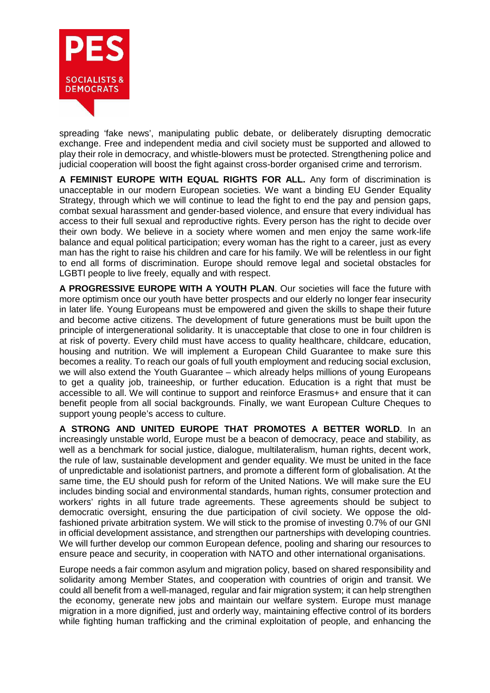

spreading 'fake news', manipulating public debate, or deliberately disrupting democratic exchange. Free and independent media and civil society must be supported and allowed to play their role in democracy, and whistle-blowers must be protected. Strengthening police and judicial cooperation will boost the fight against cross-border organised crime and terrorism.

**A FEMINIST EUROPE WITH EQUAL RIGHTS FOR ALL.** Any form of discrimination is unacceptable in our modern European societies. We want a binding EU Gender Equality Strategy, through which we will continue to lead the fight to end the pay and pension gaps, combat sexual harassment and gender-based violence, and ensure that every individual has access to their full sexual and reproductive rights. Every person has the right to decide over their own body. We believe in a society where women and men enjoy the same work-life balance and equal political participation; every woman has the right to a career, just as every man has the right to raise his children and care for his family. We will be relentless in our fight to end all forms of discrimination. Europe should remove legal and societal obstacles for LGBTI people to live freely, equally and with respect.

**A PROGRESSIVE EUROPE WITH A YOUTH PLAN**. Our societies will face the future with more optimism once our youth have better prospects and our elderly no longer fear insecurity in later life. Young Europeans must be empowered and given the skills to shape their future and become active citizens. The development of future generations must be built upon the principle of intergenerational solidarity. It is unacceptable that close to one in four children is at risk of poverty. Every child must have access to quality healthcare, childcare, education, housing and nutrition. We will implement a European Child Guarantee to make sure this becomes a reality. To reach our goals of full youth employment and reducing social exclusion, we will also extend the Youth Guarantee – which already helps millions of young Europeans to get a quality job, traineeship, or further education. Education is a right that must be accessible to all. We will continue to support and reinforce Erasmus+ and ensure that it can benefit people from all social backgrounds. Finally, we want European Culture Cheques to support young people's access to culture.

**A STRONG AND UNITED EUROPE THAT PROMOTES A BETTER WORLD**. In an increasingly unstable world, Europe must be a beacon of democracy, peace and stability, as well as a benchmark for social justice, dialogue, multilateralism, human rights, decent work, the rule of law, sustainable development and gender equality. We must be united in the face of unpredictable and isolationist partners, and promote a different form of globalisation. At the same time, the EU should push for reform of the United Nations. We will make sure the EU includes binding social and environmental standards, human rights, consumer protection and workers' rights in all future trade agreements. These agreements should be subject to democratic oversight, ensuring the due participation of civil society. We oppose the oldfashioned private arbitration system. We will stick to the promise of investing 0.7% of our GNI in official development assistance, and strengthen our partnerships with developing countries. We will further develop our common European defence, pooling and sharing our resources to ensure peace and security, in cooperation with NATO and other international organisations.

Europe needs a fair common asylum and migration policy, based on shared responsibility and solidarity among Member States, and cooperation with countries of origin and transit. We could all benefit from a well-managed, regular and fair migration system; it can help strengthen the economy, generate new jobs and maintain our welfare system. Europe must manage migration in a more dignified, just and orderly way, maintaining effective control of its borders while fighting human trafficking and the criminal exploitation of people, and enhancing the